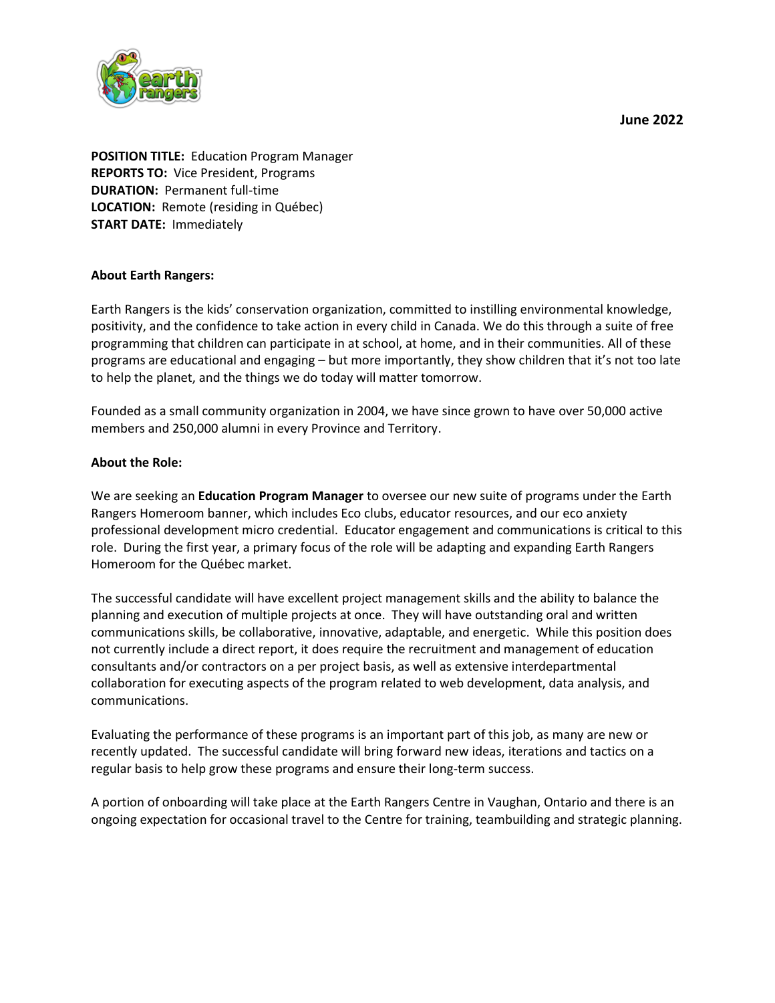**June 2022**



**POSITION TITLE:** Education Program Manager **REPORTS TO:** Vice President, Programs **DURATION:** Permanent full-time **LOCATION:** Remote (residing in Québec) **START DATE:** Immediately

#### **About Earth Rangers:**

Earth Rangers is the kids' conservation organization, committed to instilling environmental knowledge, positivity, and the confidence to take action in every child in Canada. We do this through a suite of free programming that children can participate in at school, at home, and in their communities. All of these programs are educational and engaging – but more importantly, they show children that it's not too late to help the planet, and the things we do today will matter tomorrow.

Founded as a small community organization in 2004, we have since grown to have over 50,000 active members and 250,000 alumni in every Province and Territory.

#### **About the Role:**

We are seeking an **Education Program Manager** to oversee our new suite of programs under the Earth Rangers Homeroom banner, which includes Eco clubs, educator resources, and our eco anxiety professional development micro credential. Educator engagement and communications is critical to this role. During the first year, a primary focus of the role will be adapting and expanding Earth Rangers Homeroom for the Québec market.

The successful candidate will have excellent project management skills and the ability to balance the planning and execution of multiple projects at once. They will have outstanding oral and written communications skills, be collaborative, innovative, adaptable, and energetic. While this position does not currently include a direct report, it does require the recruitment and management of education consultants and/or contractors on a per project basis, as well as extensive interdepartmental collaboration for executing aspects of the program related to web development, data analysis, and communications.

Evaluating the performance of these programs is an important part of this job, as many are new or recently updated. The successful candidate will bring forward new ideas, iterations and tactics on a regular basis to help grow these programs and ensure their long-term success.

A portion of onboarding will take place at the Earth Rangers Centre in Vaughan, Ontario and there is an ongoing expectation for occasional travel to the Centre for training, teambuilding and strategic planning.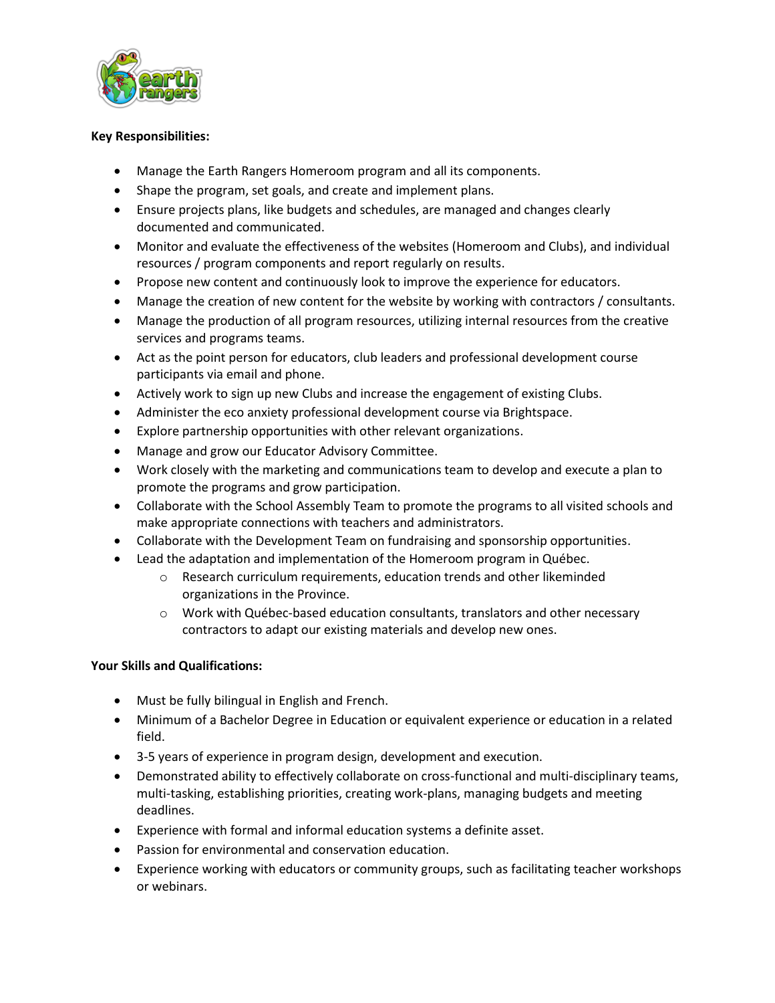

## **Key Responsibilities:**

- Manage the Earth Rangers Homeroom program and all its components.
- Shape the program, set goals, and create and implement plans.
- Ensure projects plans, like budgets and schedules, are managed and changes clearly documented and communicated.
- Monitor and evaluate the effectiveness of the websites (Homeroom and Clubs), and individual resources / program components and report regularly on results.
- Propose new content and continuously look to improve the experience for educators.
- Manage the creation of new content for the website by working with contractors / consultants.
- Manage the production of all program resources, utilizing internal resources from the creative services and programs teams.
- Act as the point person for educators, club leaders and professional development course participants via email and phone.
- Actively work to sign up new Clubs and increase the engagement of existing Clubs.
- Administer the eco anxiety professional development course via Brightspace.
- Explore partnership opportunities with other relevant organizations.
- Manage and grow our Educator Advisory Committee.
- Work closely with the marketing and communications team to develop and execute a plan to promote the programs and grow participation.
- Collaborate with the School Assembly Team to promote the programs to all visited schools and make appropriate connections with teachers and administrators.
- Collaborate with the Development Team on fundraising and sponsorship opportunities.
- Lead the adaptation and implementation of the Homeroom program in Québec.
	- o Research curriculum requirements, education trends and other likeminded organizations in the Province.
	- o Work with Québec-based education consultants, translators and other necessary contractors to adapt our existing materials and develop new ones.

# **Your Skills and Qualifications:**

- Must be fully bilingual in English and French.
- Minimum of a Bachelor Degree in Education or equivalent experience or education in a related field.
- 3-5 years of experience in program design, development and execution.
- Demonstrated ability to effectively collaborate on cross-functional and multi-disciplinary teams, multi-tasking, establishing priorities, creating work-plans, managing budgets and meeting deadlines.
- Experience with formal and informal education systems a definite asset.
- Passion for environmental and conservation education.
- Experience working with educators or community groups, such as facilitating teacher workshops or webinars.